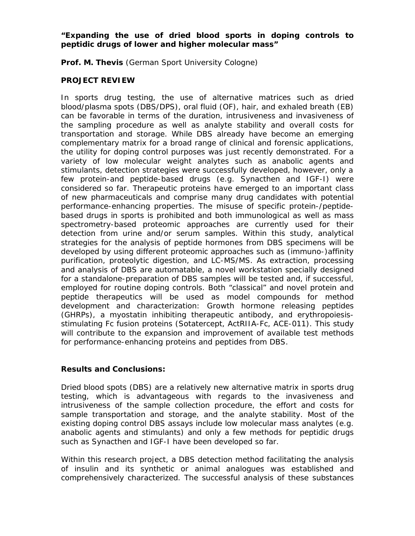## *"Expanding the use of dried blood sports in doping controls to peptidic drugs of lower and higher molecular mass"*

**Prof. M. Thevis** (German Sport University Cologne)

## **PROJECT REVIEW**

In sports drug testing, the use of alternative matrices such as dried blood/plasma spots (DBS/DPS), oral fluid (OF), hair, and exhaled breath (EB) can be favorable in terms of the duration, intrusiveness and invasiveness of the sampling procedure as well as analyte stability and overall costs for transportation and storage. While DBS already have become an emerging complementary matrix for a broad range of clinical and forensic applications, the utility for doping control purposes was just recently demonstrated. For a variety of low molecular weight analytes such as anabolic agents and stimulants, detection strategies were successfully developed, however, only a few protein-and peptide-based drugs (e.g. Synacthen and IGF-I) were considered so far. Therapeutic proteins have emerged to an important class of new pharmaceuticals and comprise many drug candidates with potential performance-enhancing properties. The misuse of specific protein-/peptidebased drugs in sports is prohibited and both immunological as well as mass spectrometry-based proteomic approaches are currently used for their detection from urine and/or serum samples. Within this study, analytical strategies for the analysis of peptide hormones from DBS specimens will be developed by using different proteomic approaches such as (immuno-)affinity purification, proteolytic digestion, and LC-MS/MS. As extraction, processing and analysis of DBS are automatable, a novel workstation specially designed for a standalone-preparation of DBS samples will be tested and, if successful, employed for routine doping controls. Both "classical" and novel protein and peptide therapeutics will be used as model compounds for method development and characterization: Growth hormone releasing peptides (GHRPs), a myostatin inhibiting therapeutic antibody, and erythropoiesisstimulating Fc fusion proteins (Sotatercept, ActRIIA-Fc, ACE-011). This study will contribute to the expansion and improvement of available test methods for performance-enhancing proteins and peptides from DBS.

## **Results and Conclusions:**

Dried blood spots (DBS) are a relatively new alternative matrix in sports drug testing, which is advantageous with regards to the invasiveness and intrusiveness of the sample collection procedure, the effort and costs for sample transportation and storage, and the analyte stability. Most of the existing doping control DBS assays include low molecular mass analytes (e.g. anabolic agents and stimulants) and only a few methods for peptidic drugs such as Synacthen and IGF-I have been developed so far.

Within this research project, a DBS detection method facilitating the analysis of insulin and its synthetic or animal analogues was established and comprehensively characterized. The successful analysis of these substances